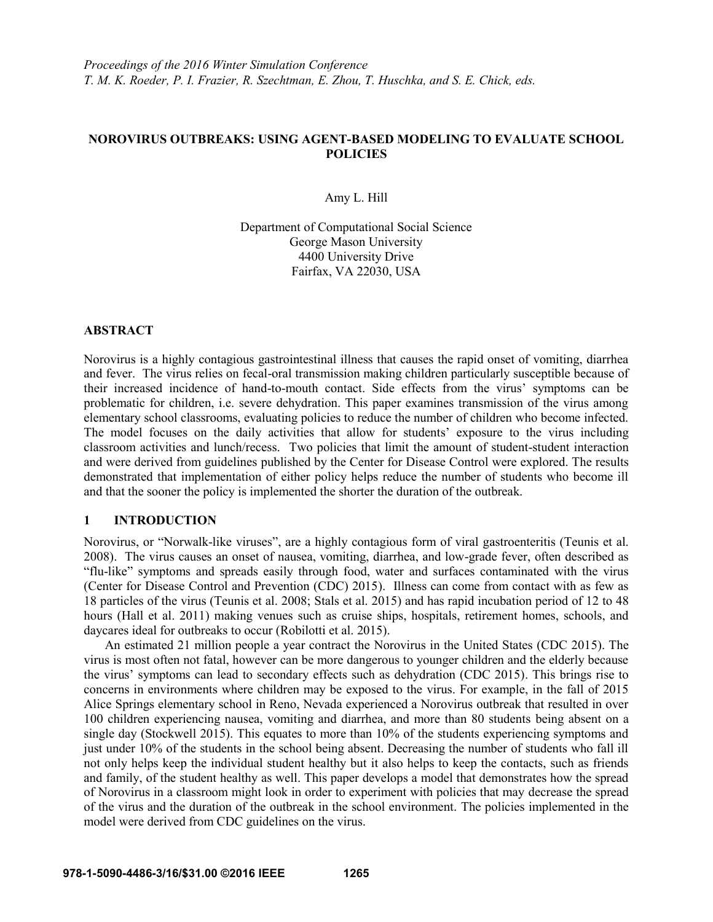# **NOROVIRUS OUTBREAKS: USING AGENT-BASED MODELING TO EVALUATE SCHOOL POLICIES**

Amy L. Hill

Department of Computational Social Science George Mason University 4400 University Drive Fairfax, VA 22030, USA

### **ABSTRACT**

Norovirus is a highly contagious gastrointestinal illness that causes the rapid onset of vomiting, diarrhea and fever. The virus relies on fecal-oral transmission making children particularly susceptible because of their increased incidence of hand-to-mouth contact. Side effects from the virus' symptoms can be problematic for children, i.e. severe dehydration. This paper examines transmission of the virus among elementary school classrooms, evaluating policies to reduce the number of children who become infected. The model focuses on the daily activities that allow for students' exposure to the virus including classroom activities and lunch/recess. Two policies that limit the amount of student-student interaction and were derived from guidelines published by the Center for Disease Control were explored. The results demonstrated that implementation of either policy helps reduce the number of students who become ill and that the sooner the policy is implemented the shorter the duration of the outbreak.

## **1 INTRODUCTION**

Norovirus, or "Norwalk-like viruses", are a highly contagious form of viral gastroenteritis (Teunis et al. 2008). The virus causes an onset of nausea, vomiting, diarrhea, and low-grade fever, often described as "flu-like" symptoms and spreads easily through food, water and surfaces contaminated with the virus (Center for Disease Control and Prevention (CDC) 2015). Illness can come from contact with as few as 18 particles of the virus (Teunis et al. 2008; Stals et al. 2015) and has rapid incubation period of 12 to 48 hours (Hall et al. 2011) making venues such as cruise ships, hospitals, retirement homes, schools, and daycares ideal for outbreaks to occur (Robilotti et al. 2015).

An estimated 21 million people a year contract the Norovirus in the United States (CDC 2015). The virus is most often not fatal, however can be more dangerous to younger children and the elderly because the virus' symptoms can lead to secondary effects such as dehydration (CDC 2015). This brings rise to concerns in environments where children may be exposed to the virus. For example, in the fall of 2015 Alice Springs elementary school in Reno, Nevada experienced a Norovirus outbreak that resulted in over 100 children experiencing nausea, vomiting and diarrhea, and more than 80 students being absent on a single day (Stockwell 2015). This equates to more than 10% of the students experiencing symptoms and just under 10% of the students in the school being absent. Decreasing the number of students who fall ill not only helps keep the individual student healthy but it also helps to keep the contacts, such as friends and family, of the student healthy as well. This paper develops a model that demonstrates how the spread of Norovirus in a classroom might look in order to experiment with policies that may decrease the spread of the virus and the duration of the outbreak in the school environment. The policies implemented in the model were derived from CDC guidelines on the virus.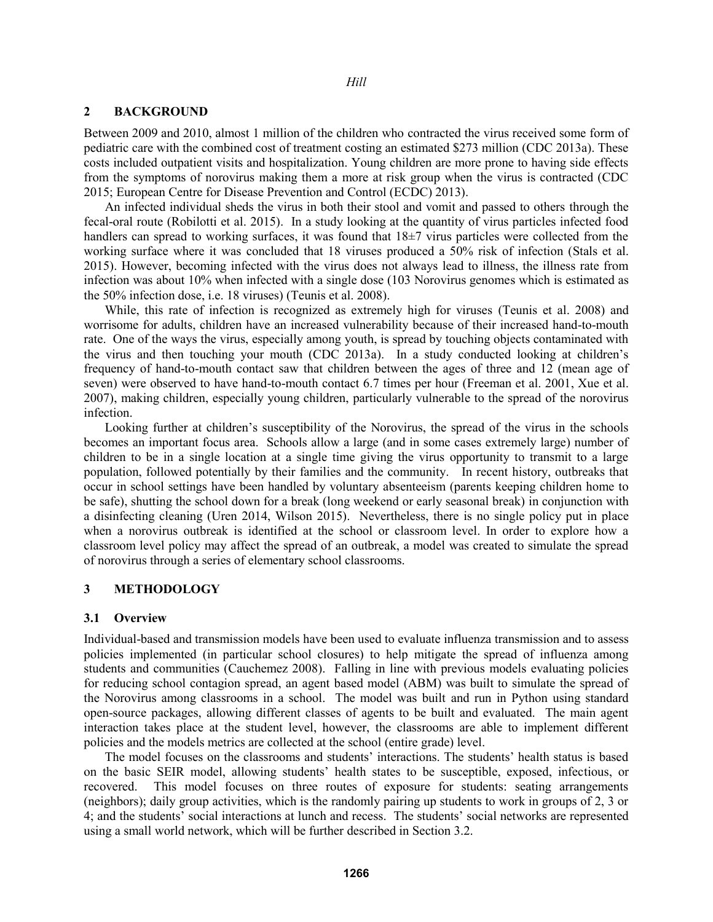## **2 BACKGROUND**

Between 2009 and 2010, almost 1 million of the children who contracted the virus received some form of pediatric care with the combined cost of treatment costing an estimated \$273 million (CDC 2013a). These costs included outpatient visits and hospitalization. Young children are more prone to having side effects from the symptoms of norovirus making them a more at risk group when the virus is contracted (CDC 2015; European Centre for Disease Prevention and Control (ECDC) 2013).

An infected individual sheds the virus in both their stool and vomit and passed to others through the fecal-oral route (Robilotti et al. 2015). In a study looking at the quantity of virus particles infected food handlers can spread to working surfaces, it was found that  $18\pm7$  virus particles were collected from the working surface where it was concluded that 18 viruses produced a 50% risk of infection (Stals et al. 2015). However, becoming infected with the virus does not always lead to illness, the illness rate from infection was about 10% when infected with a single dose (103 Norovirus genomes which is estimated as the 50% infection dose, i.e. 18 viruses) (Teunis et al. 2008).

While, this rate of infection is recognized as extremely high for viruses (Teunis et al. 2008) and worrisome for adults, children have an increased vulnerability because of their increased hand-to-mouth rate. One of the ways the virus, especially among youth, is spread by touching objects contaminated with the virus and then touching your mouth (CDC 2013a). In a study conducted looking at children's frequency of hand-to-mouth contact saw that children between the ages of three and 12 (mean age of seven) were observed to have hand-to-mouth contact 6.7 times per hour (Freeman et al. 2001, Xue et al. 2007), making children, especially young children, particularly vulnerable to the spread of the norovirus infection.

Looking further at children's susceptibility of the Norovirus, the spread of the virus in the schools becomes an important focus area. Schools allow a large (and in some cases extremely large) number of children to be in a single location at a single time giving the virus opportunity to transmit to a large population, followed potentially by their families and the community. In recent history, outbreaks that occur in school settings have been handled by voluntary absenteeism (parents keeping children home to be safe), shutting the school down for a break (long weekend or early seasonal break) in conjunction with a disinfecting cleaning (Uren 2014, Wilson 2015). Nevertheless, there is no single policy put in place when a norovirus outbreak is identified at the school or classroom level. In order to explore how a classroom level policy may affect the spread of an outbreak, a model was created to simulate the spread of norovirus through a series of elementary school classrooms.

## **3 METHODOLOGY**

### **3.1 Overview**

Individual-based and transmission models have been used to evaluate influenza transmission and to assess policies implemented (in particular school closures) to help mitigate the spread of influenza among students and communities (Cauchemez 2008). Falling in line with previous models evaluating policies for reducing school contagion spread, an agent based model (ABM) was built to simulate the spread of the Norovirus among classrooms in a school. The model was built and run in Python using standard open-source packages, allowing different classes of agents to be built and evaluated. The main agent interaction takes place at the student level, however, the classrooms are able to implement different policies and the models metrics are collected at the school (entire grade) level.

The model focuses on the classrooms and students' interactions. The students' health status is based on the basic SEIR model, allowing students' health states to be susceptible, exposed, infectious, or recovered. This model focuses on three routes of exposure for students: seating arrangements (neighbors); daily group activities, which is the randomly pairing up students to work in groups of 2, 3 or 4; and the students' social interactions at lunch and recess. The students' social networks are represented using a small world network, which will be further described in Section 3.2.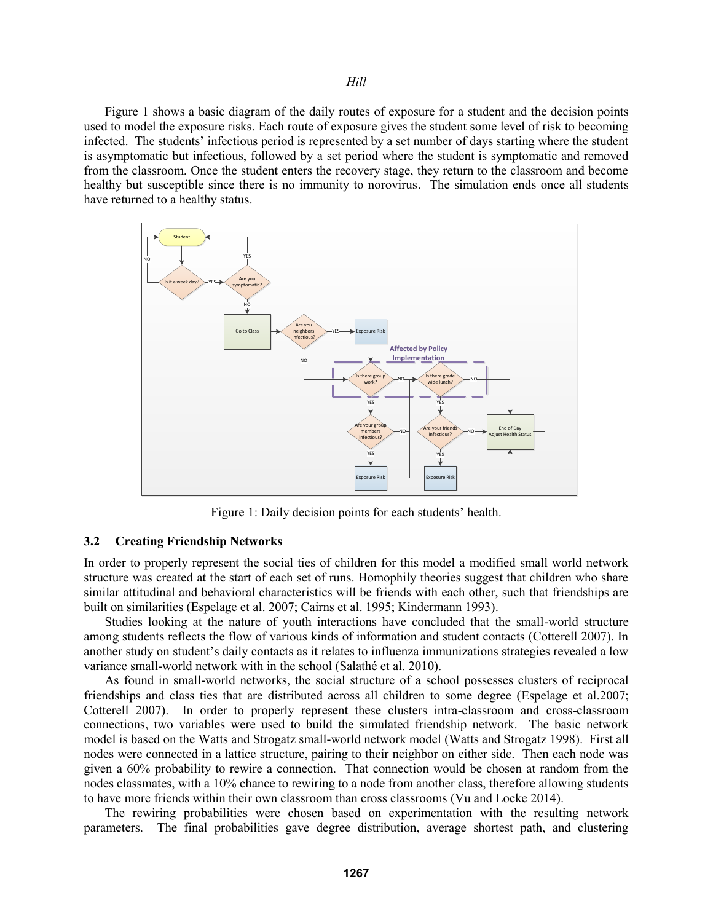Figure 1 shows a basic diagram of the daily routes of exposure for a student and the decision points used to model the exposure risks. Each route of exposure gives the student some level of risk to becoming infected. The students' infectious period is represented by a set number of days starting where the student is asymptomatic but infectious, followed by a set period where the student is symptomatic and removed from the classroom. Once the student enters the recovery stage, they return to the classroom and become healthy but susceptible since there is no immunity to norovirus. The simulation ends once all students have returned to a healthy status.



Figure 1: Daily decision points for each students' health.

### **3.2 Creating Friendship Networks**

In order to properly represent the social ties of children for this model a modified small world network structure was created at the start of each set of runs. Homophily theories suggest that children who share similar attitudinal and behavioral characteristics will be friends with each other, such that friendships are built on similarities (Espelage et al. 2007; Cairns et al. 1995; Kindermann 1993).

Studies looking at the nature of youth interactions have concluded that the small-world structure among students reflects the flow of various kinds of information and student contacts (Cotterell 2007). In another study on student's daily contacts as it relates to influenza immunizations strategies revealed a low variance small-world network with in the school (Salathé et al. 2010).

As found in small-world networks, the social structure of a school possesses clusters of reciprocal friendships and class ties that are distributed across all children to some degree (Espelage et al.2007; Cotterell 2007). In order to properly represent these clusters intra-classroom and cross-classroom connections, two variables were used to build the simulated friendship network. The basic network model is based on the Watts and Strogatz small-world network model (Watts and Strogatz 1998). First all nodes were connected in a lattice structure, pairing to their neighbor on either side. Then each node was given a 60% probability to rewire a connection. That connection would be chosen at random from the nodes classmates, with a 10% chance to rewiring to a node from another class, therefore allowing students to have more friends within their own classroom than cross classrooms (Vu and Locke 2014).

The rewiring probabilities were chosen based on experimentation with the resulting network parameters. The final probabilities gave degree distribution, average shortest path, and clustering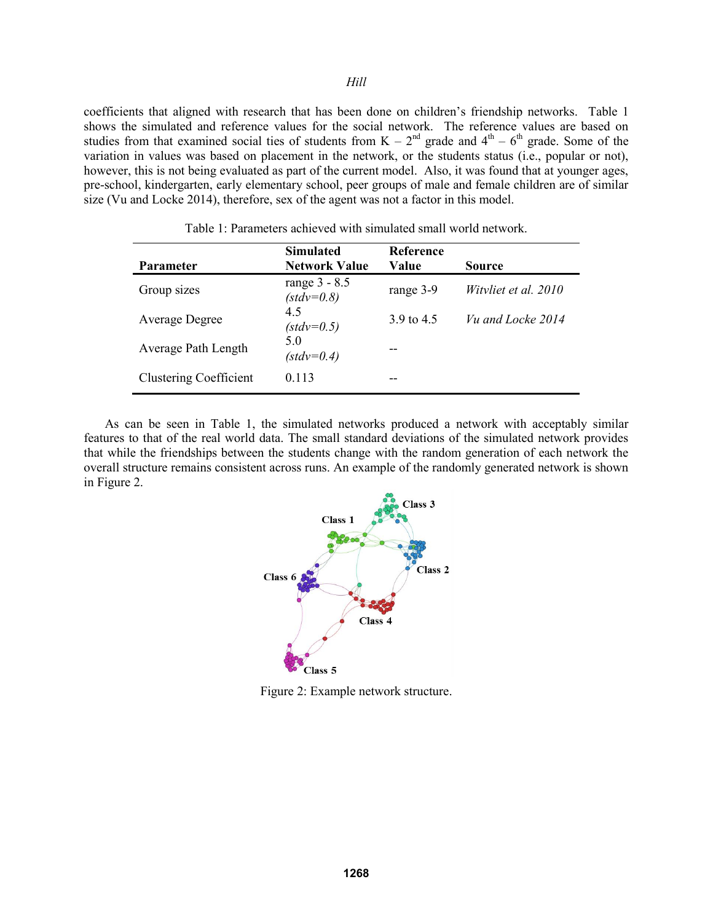coefficients that aligned with research that has been done on children's friendship networks. Table 1 shows the simulated and reference values for the social network. The reference values are based on studies from that examined social ties of students from  $K - 2<sup>nd</sup>$  grade and  $4<sup>th</sup> - 6<sup>th</sup>$  grade. Some of the variation in values was based on placement in the network, or the students status (i.e., popular or not), however, this is not being evaluated as part of the current model. Also, it was found that at younger ages, pre-school, kindergarten, early elementary school, peer groups of male and female children are of similar size (Vu and Locke 2014), therefore, sex of the agent was not a factor in this model.

*Hill*

| <b>Parameter</b>              | <b>Simulated</b><br><b>Network Value</b> | <b>Reference</b><br>Value | Source               |
|-------------------------------|------------------------------------------|---------------------------|----------------------|
| Group sizes                   | range 3 - 8.5<br>$(stdv=0.8)$            | range 3-9                 | Witvliet et al. 2010 |
| <b>Average Degree</b>         | 45<br>$(stdv=0.5)$                       | 3.9 to 4.5                | Vu and Locke 2014    |
| Average Path Length           | 50<br>$(stdv=0.4)$                       |                           |                      |
| <b>Clustering Coefficient</b> | 0.113                                    | --                        |                      |

Table 1: Parameters achieved with simulated small world network.

As can be seen in Table 1, the simulated networks produced a network with acceptably similar features to that of the real world data. The small standard deviations of the simulated network provides that while the friendships between the students change with the random generation of each network the overall structure remains consistent across runs. An example of the randomly generated network is shown in Figure 2.



Figure 2: Example network structure.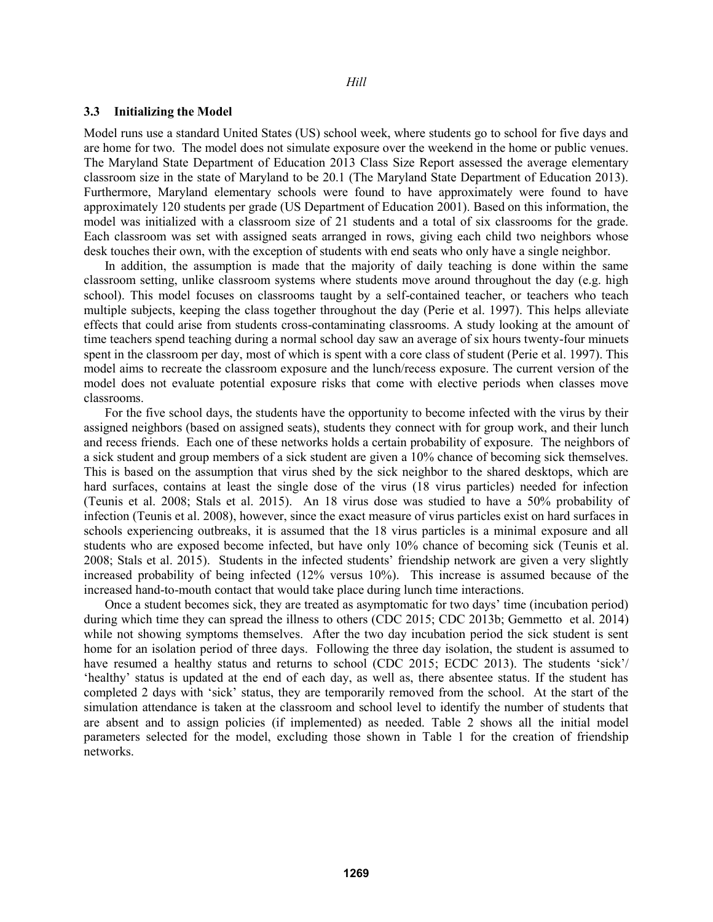### **3.3 Initializing the Model**

Model runs use a standard United States (US) school week, where students go to school for five days and are home for two. The model does not simulate exposure over the weekend in the home or public venues. The Maryland State Department of Education 2013 Class Size Report assessed the average elementary classroom size in the state of Maryland to be 20.1 (The Maryland State Department of Education 2013). Furthermore, Maryland elementary schools were found to have approximately were found to have approximately 120 students per grade (US Department of Education 2001). Based on this information, the model was initialized with a classroom size of 21 students and a total of six classrooms for the grade. Each classroom was set with assigned seats arranged in rows, giving each child two neighbors whose desk touches their own, with the exception of students with end seats who only have a single neighbor.

In addition, the assumption is made that the majority of daily teaching is done within the same classroom setting, unlike classroom systems where students move around throughout the day (e.g. high school). This model focuses on classrooms taught by a self-contained teacher, or teachers who teach multiple subjects, keeping the class together throughout the day (Perie et al. 1997). This helps alleviate effects that could arise from students cross-contaminating classrooms. A study looking at the amount of time teachers spend teaching during a normal school day saw an average of six hours twenty-four minuets spent in the classroom per day, most of which is spent with a core class of student (Perie et al. 1997). This model aims to recreate the classroom exposure and the lunch/recess exposure. The current version of the model does not evaluate potential exposure risks that come with elective periods when classes move classrooms.

For the five school days, the students have the opportunity to become infected with the virus by their assigned neighbors (based on assigned seats), students they connect with for group work, and their lunch and recess friends. Each one of these networks holds a certain probability of exposure. The neighbors of a sick student and group members of a sick student are given a 10% chance of becoming sick themselves. This is based on the assumption that virus shed by the sick neighbor to the shared desktops, which are hard surfaces, contains at least the single dose of the virus (18 virus particles) needed for infection (Teunis et al. 2008; Stals et al. 2015). An 18 virus dose was studied to have a 50% probability of infection (Teunis et al. 2008), however, since the exact measure of virus particles exist on hard surfaces in schools experiencing outbreaks, it is assumed that the 18 virus particles is a minimal exposure and all students who are exposed become infected, but have only 10% chance of becoming sick (Teunis et al. 2008; Stals et al. 2015). Students in the infected students' friendship network are given a very slightly increased probability of being infected (12% versus 10%). This increase is assumed because of the increased hand-to-mouth contact that would take place during lunch time interactions.

Once a student becomes sick, they are treated as asymptomatic for two days' time (incubation period) during which time they can spread the illness to others (CDC 2015; CDC 2013b; Gemmetto et al. 2014) while not showing symptoms themselves. After the two day incubation period the sick student is sent home for an isolation period of three days. Following the three day isolation, the student is assumed to have resumed a healthy status and returns to school (CDC 2015; ECDC 2013). The students 'sick'/ 'healthy' status is updated at the end of each day, as well as, there absentee status. If the student has completed 2 days with 'sick' status, they are temporarily removed from the school. At the start of the simulation attendance is taken at the classroom and school level to identify the number of students that are absent and to assign policies (if implemented) as needed. Table 2 shows all the initial model parameters selected for the model, excluding those shown in Table 1 for the creation of friendship networks.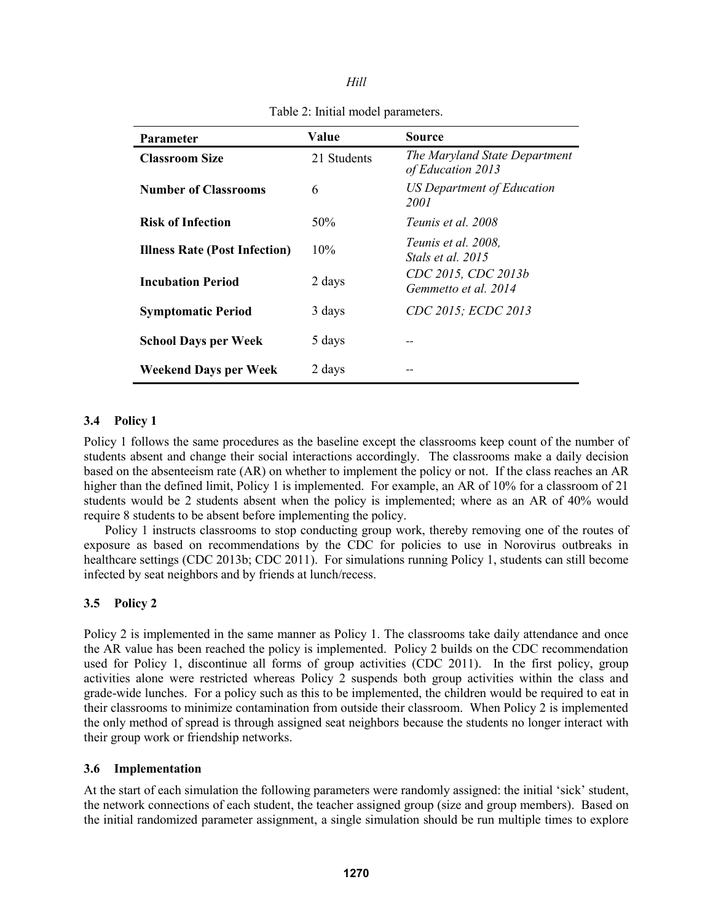| <b>Parameter</b>                     | Value       | Source                                             |
|--------------------------------------|-------------|----------------------------------------------------|
| <b>Classroom Size</b>                | 21 Students | The Maryland State Department<br>of Education 2013 |
| <b>Number of Classrooms</b>          | 6           | <b>US Department of Education</b><br><i>2001</i>   |
| <b>Risk of Infection</b>             | 50%         | Teunis et al. 2008                                 |
| <b>Illness Rate (Post Infection)</b> | 10%         | Teunis et al. 2008,<br>Stals et al. 2015           |
| <b>Incubation Period</b>             | 2 days      | CDC 2015, CDC 2013b<br>Gemmetto et al. 2014        |
| <b>Symptomatic Period</b>            | 3 days      | CDC 2015; ECDC 2013                                |
| <b>School Days per Week</b>          | 5 days      |                                                    |
| <b>Weekend Days per Week</b>         | 2 days      |                                                    |

Table 2: Initial model parameters.

# **3.4 Policy 1**

Policy 1 follows the same procedures as the baseline except the classrooms keep count of the number of students absent and change their social interactions accordingly. The classrooms make a daily decision based on the absenteeism rate (AR) on whether to implement the policy or not. If the class reaches an AR higher than the defined limit, Policy 1 is implemented. For example, an AR of 10% for a classroom of 21 students would be 2 students absent when the policy is implemented; where as an AR of 40% would require 8 students to be absent before implementing the policy.

Policy 1 instructs classrooms to stop conducting group work, thereby removing one of the routes of exposure as based on recommendations by the CDC for policies to use in Norovirus outbreaks in healthcare settings (CDC 2013b; CDC 2011). For simulations running Policy 1, students can still become infected by seat neighbors and by friends at lunch/recess.

# **3.5 Policy 2**

Policy 2 is implemented in the same manner as Policy 1. The classrooms take daily attendance and once the AR value has been reached the policy is implemented. Policy 2 builds on the CDC recommendation used for Policy 1, discontinue all forms of group activities (CDC 2011). In the first policy, group activities alone were restricted whereas Policy 2 suspends both group activities within the class and grade-wide lunches. For a policy such as this to be implemented, the children would be required to eat in their classrooms to minimize contamination from outside their classroom. When Policy 2 is implemented the only method of spread is through assigned seat neighbors because the students no longer interact with their group work or friendship networks.

# **3.6 Implementation**

At the start of each simulation the following parameters were randomly assigned: the initial 'sick' student, the network connections of each student, the teacher assigned group (size and group members). Based on the initial randomized parameter assignment, a single simulation should be run multiple times to explore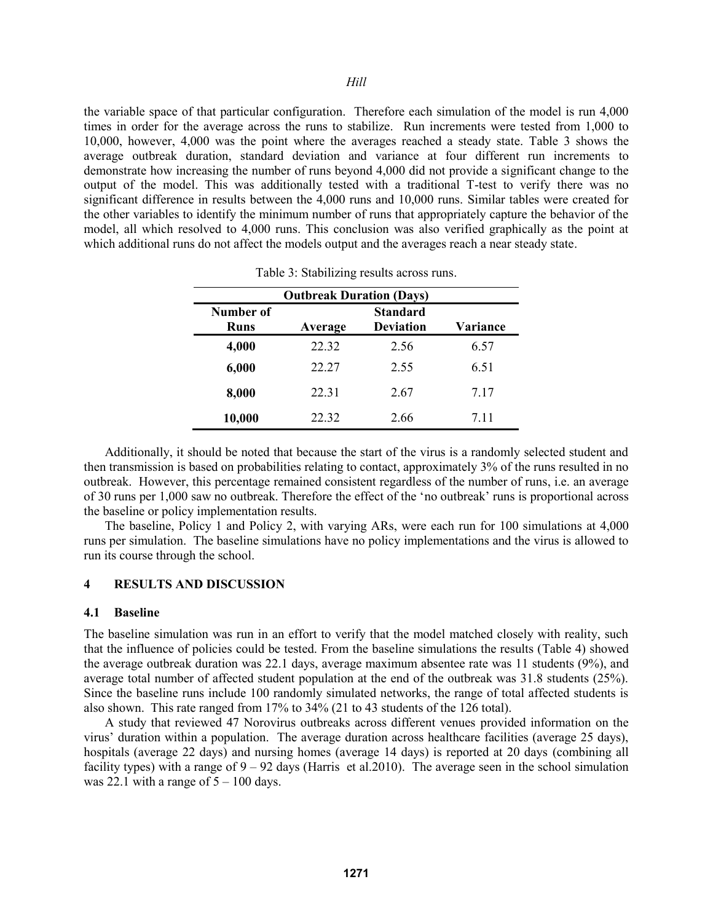the variable space of that particular configuration. Therefore each simulation of the model is run 4,000 times in order for the average across the runs to stabilize. Run increments were tested from 1,000 to 10,000, however, 4,000 was the point where the averages reached a steady state. Table 3 shows the average outbreak duration, standard deviation and variance at four different run increments to demonstrate how increasing the number of runs beyond 4,000 did not provide a significant change to the output of the model. This was additionally tested with a traditional T-test to verify there was no significant difference in results between the 4,000 runs and 10,000 runs. Similar tables were created for the other variables to identify the minimum number of runs that appropriately capture the behavior of the model, all which resolved to 4,000 runs. This conclusion was also verified graphically as the point at which additional runs do not affect the models output and the averages reach a near steady state.

| <b>Outbreak Duration (Days)</b> |         |                                     |                 |  |
|---------------------------------|---------|-------------------------------------|-----------------|--|
| Number of<br><b>Runs</b>        | Average | <b>Standard</b><br><b>Deviation</b> | <b>Variance</b> |  |
| 4,000                           | 22.32   | 2.56                                | 6.57            |  |
| 6,000                           | 22.27   | 2.55                                | 6.51            |  |
| 8,000                           | 22.31   | 2.67                                | 7.17            |  |
| 10,000                          | 22 32   | 2.66                                | 7.11            |  |

Table 3: Stabilizing results across runs.

Additionally, it should be noted that because the start of the virus is a randomly selected student and then transmission is based on probabilities relating to contact, approximately 3% of the runs resulted in no outbreak. However, this percentage remained consistent regardless of the number of runs, i.e. an average of 30 runs per 1,000 saw no outbreak. Therefore the effect of the 'no outbreak' runs is proportional across the baseline or policy implementation results.

The baseline, Policy 1 and Policy 2, with varying ARs, were each run for 100 simulations at 4,000 runs per simulation. The baseline simulations have no policy implementations and the virus is allowed to run its course through the school.

## **4 RESULTS AND DISCUSSION**

#### **4.1 Baseline**

The baseline simulation was run in an effort to verify that the model matched closely with reality, such that the influence of policies could be tested. From the baseline simulations the results (Table 4) showed the average outbreak duration was 22.1 days, average maximum absentee rate was 11 students (9%), and average total number of affected student population at the end of the outbreak was 31.8 students (25%). Since the baseline runs include 100 randomly simulated networks, the range of total affected students is also shown. This rate ranged from 17% to 34% (21 to 43 students of the 126 total).

A study that reviewed 47 Norovirus outbreaks across different venues provided information on the virus' duration within a population. The average duration across healthcare facilities (average 25 days), hospitals (average 22 days) and nursing homes (average 14 days) is reported at 20 days (combining all facility types) with a range of 9 – 92 days (Harris et al.2010). The average seen in the school simulation was 22.1 with a range of  $5 - 100$  days.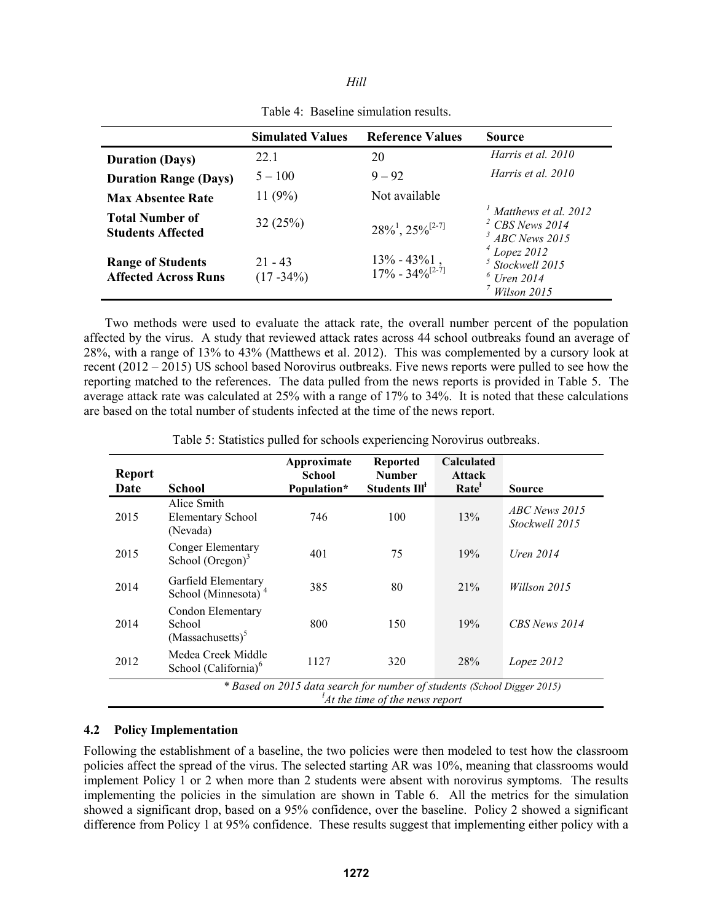|                                                         | <b>Simulated Values</b>    | <b>Reference Values</b>                   | Source                                                                   |
|---------------------------------------------------------|----------------------------|-------------------------------------------|--------------------------------------------------------------------------|
| <b>Duration (Days)</b>                                  | 22.1                       | 20                                        | Harris et al. 2010                                                       |
| <b>Duration Range (Days)</b>                            | $5 - 100$                  | $9 - 92$                                  | Harris et al. 2010                                                       |
| <b>Max Absentee Rate</b>                                | 11(9%)                     | Not available                             |                                                                          |
| <b>Total Number of</b><br><b>Students Affected</b>      | 32(25%)                    | $28\%^{1}$ , $25\%^{[2-7]}$               | $1$ Matthews et al. 2012<br>$\frac{2}{2}$ CBS News 2014<br>ABC News 2015 |
| <b>Range of Students</b><br><b>Affected Across Runs</b> | $21 - 43$<br>$(17 - 34\%)$ | $13\% - 43\%1$ ,<br>$17\% - 34\%^{[2-7]}$ | $4$ Lopez 2012<br>Stockwell 2015<br>$6$ Uren 2014<br>Wilson 2015         |

Table 4: Baseline simulation results.

Two methods were used to evaluate the attack rate, the overall number percent of the population affected by the virus. A study that reviewed attack rates across 44 school outbreaks found an average of 28%, with a range of 13% to 43% (Matthews et al. 2012). This was complemented by a cursory look at recent (2012 – 2015) US school based Norovirus outbreaks. Five news reports were pulled to see how the reporting matched to the references. The data pulled from the news reports is provided in Table 5. The average attack rate was calculated at 25% with a range of 17% to 34%. It is noted that these calculations are based on the total number of students infected at the time of the news report.

| <b>Report</b>                                                                                                             |                                                        | Approximate<br><b>School</b> | <b>Reported</b><br><b>Number</b> | <b>Calculated</b><br><b>Attack</b> |                                 |
|---------------------------------------------------------------------------------------------------------------------------|--------------------------------------------------------|------------------------------|----------------------------------|------------------------------------|---------------------------------|
| Date                                                                                                                      | School                                                 | Population*                  | Students Ill <sup>t</sup>        | Rate <sup>†</sup>                  | Source                          |
| 2015                                                                                                                      | Alice Smith<br><b>Elementary School</b><br>(Nevada)    | 746                          | 100                              | 13%                                | ABC News 2015<br>Stockwell 2015 |
| 2015                                                                                                                      | Conger Elementary<br>School $(Oregon)^3$               | 401                          | 75                               | 19%                                | Uren $2014$                     |
| 2014                                                                                                                      | Garfield Elementary<br>School (Minnesota) <sup>4</sup> | 385                          | 80                               | 21%                                | Willson 2015                    |
| 2014                                                                                                                      | Condon Elementary<br>School<br>$(Massachusetts)^5$     | 800                          | 150                              | 19%                                | CBS News 2014                   |
| 2012                                                                                                                      | Medea Creek Middle<br>School (California) <sup>6</sup> | 1127                         | 320                              | 28%                                | $Lopez$ 2012                    |
| * Based on 2015 data search for number of students (School Digger 2015)<br>${}^{\text{t}}$ At the time of the news report |                                                        |                              |                                  |                                    |                                 |

Table 5: Statistics pulled for schools experiencing Norovirus outbreaks.

# **4.2 Policy Implementation**

Following the establishment of a baseline, the two policies were then modeled to test how the classroom policies affect the spread of the virus. The selected starting AR was 10%, meaning that classrooms would implement Policy 1 or 2 when more than 2 students were absent with norovirus symptoms. The results implementing the policies in the simulation are shown in Table 6. All the metrics for the simulation showed a significant drop, based on a 95% confidence, over the baseline. Policy 2 showed a significant difference from Policy 1 at 95% confidence. These results suggest that implementing either policy with a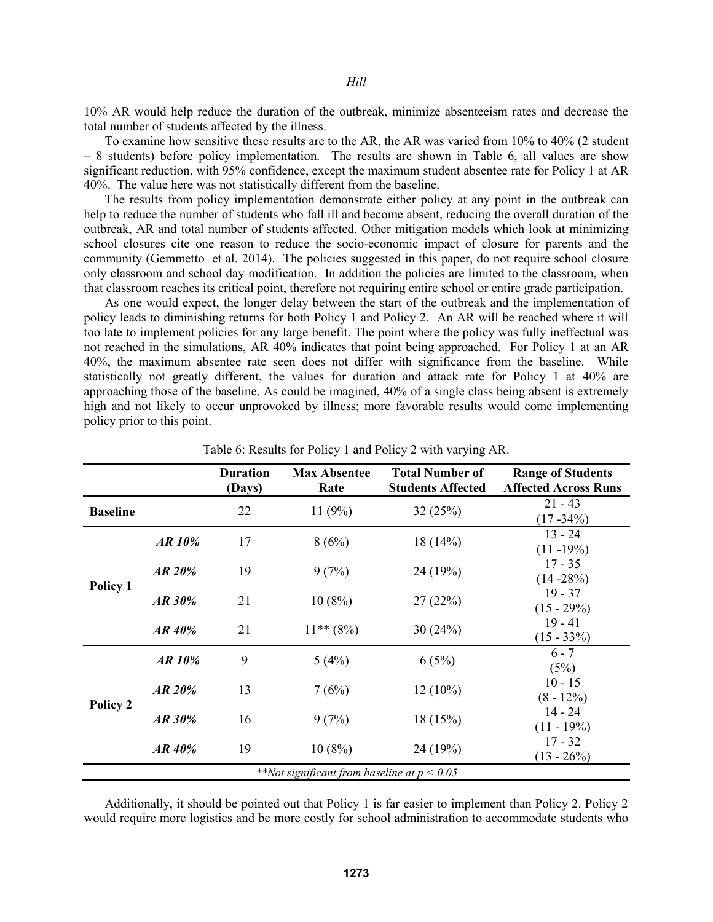10% AR would help reduce the duration of the outbreak, minimize absenteeism rates and decrease the total number of students affected by the illness.

To examine how sensitive these results are to the AR, the AR was varied from 10% to 40% (2 student – 8 students) before policy implementation. The results are shown in Table 6, all values are show significant reduction, with 95% confidence, except the maximum student absentee rate for Policy 1 at AR 40%. The value here was not statistically different from the baseline.

The results from policy implementation demonstrate either policy at any point in the outbreak can help to reduce the number of students who fall ill and become absent, reducing the overall duration of the outbreak, AR and total number of students affected. Other mitigation models which look at minimizing school closures cite one reason to reduce the socio-economic impact of closure for parents and the community (Gemmetto et al. 2014). The policies suggested in this paper, do not require school closure only classroom and school day modification. In addition the policies are limited to the classroom, when that classroom reaches its critical point, therefore not requiring entire school or entire grade participation.

As one would expect, the longer delay between the start of the outbreak and the implementation of policy leads to diminishing returns for both Policy 1 and Policy 2. An AR will be reached where it will too late to implement policies for any large benefit. The point where the policy was fully ineffectual was not reached in the simulations, AR 40% indicates that point being approached. For Policy 1 at an AR 40%, the maximum absentee rate seen does not differ with significance from the baseline. While statistically not greatly different, the values for duration and attack rate for Policy 1 at 40% are approaching those of the baseline. As could be imagined, 40% of a single class being absent is extremely high and not likely to occur unprovoked by illness; more favorable results would come implementing policy prior to this point.

|                                               |               | <b>Duration</b><br>(Days) | <b>Max Absentee</b><br>Rate | <b>Total Number of</b><br><b>Students Affected</b> | <b>Range of Students</b><br><b>Affected Across Runs</b> |
|-----------------------------------------------|---------------|---------------------------|-----------------------------|----------------------------------------------------|---------------------------------------------------------|
| <b>Baseline</b>                               |               | 22                        | 11 $(9%)$                   | 32(25%)                                            | $21 - 43$<br>$(17 - 34\%)$                              |
| Policy 1                                      | <b>AR 10%</b> | 17                        | 8(6%)                       | 18(14%)                                            | $13 - 24$<br>$(11 - 19\%)$                              |
|                                               | AR 20%        | 19                        | 9(7%)                       | 24(19%)                                            | $17 - 35$<br>$(14 - 28\%)$                              |
|                                               | AR 30%        | 21                        | 10(8%)                      | 27(22%)                                            | $19 - 37$<br>$(15 - 29\%)$                              |
|                                               | <b>AR 40%</b> | 21                        | $11**$ (8%)                 | 30(24%)                                            | $19 - 41$<br>$(15 - 33\%)$                              |
| Policy 2                                      | <b>AR 10%</b> | 9                         | 5(4%)                       | 6(5%)                                              | $6 - 7$<br>(5%)                                         |
|                                               | AR 20%        | 13                        | 7(6%)                       | $12(10\%)$                                         | $10 - 15$<br>$(8 - 12\%)$                               |
|                                               | AR 30%        | 16                        | 9(7%)                       | 18(15%)                                            | $14 - 24$<br>$(11 - 19\%)$                              |
|                                               | <b>AR 40%</b> | 19                        | 10(8%)                      | 24(19%)                                            | $17 - 32$<br>$(13 - 26\%)$                              |
| **Not significant from baseline at $p < 0.05$ |               |                           |                             |                                                    |                                                         |

Table 6: Results for Policy 1 and Policy 2 with varying AR.

Additionally, it should be pointed out that Policy 1 is far easier to implement than Policy 2. Policy 2 would require more logistics and be more costly for school administration to accommodate students who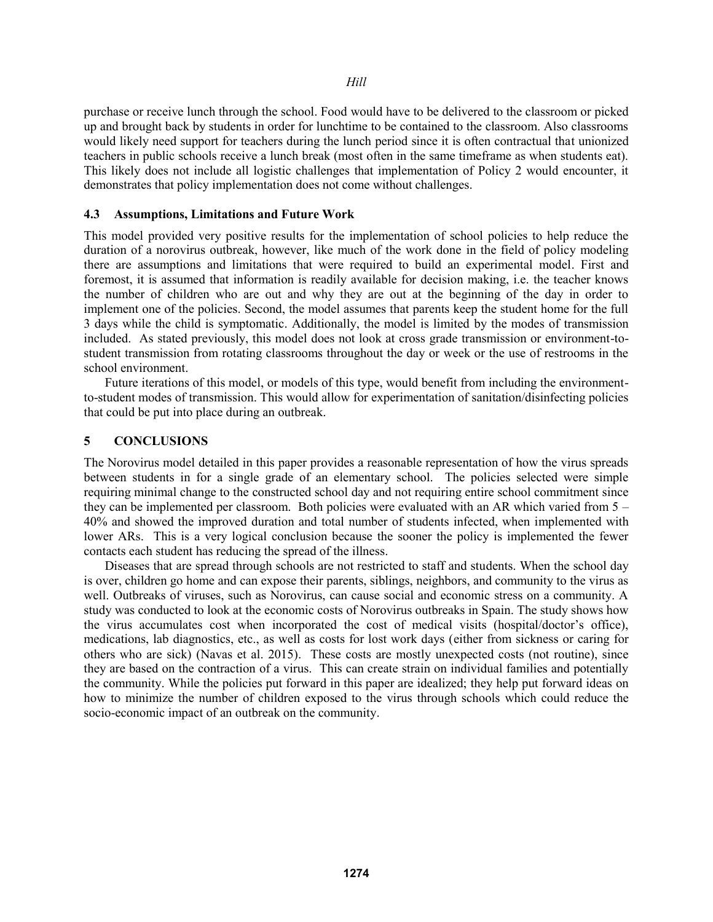purchase or receive lunch through the school. Food would have to be delivered to the classroom or picked up and brought back by students in order for lunchtime to be contained to the classroom. Also classrooms would likely need support for teachers during the lunch period since it is often contractual that unionized teachers in public schools receive a lunch break (most often in the same timeframe as when students eat). This likely does not include all logistic challenges that implementation of Policy 2 would encounter, it demonstrates that policy implementation does not come without challenges.

### **4.3 Assumptions, Limitations and Future Work**

This model provided very positive results for the implementation of school policies to help reduce the duration of a norovirus outbreak, however, like much of the work done in the field of policy modeling there are assumptions and limitations that were required to build an experimental model. First and foremost, it is assumed that information is readily available for decision making, i.e. the teacher knows the number of children who are out and why they are out at the beginning of the day in order to implement one of the policies. Second, the model assumes that parents keep the student home for the full 3 days while the child is symptomatic. Additionally, the model is limited by the modes of transmission included. As stated previously, this model does not look at cross grade transmission or environment-tostudent transmission from rotating classrooms throughout the day or week or the use of restrooms in the school environment.

Future iterations of this model, or models of this type, would benefit from including the environmentto-student modes of transmission. This would allow for experimentation of sanitation/disinfecting policies that could be put into place during an outbreak.

## **5 CONCLUSIONS**

The Norovirus model detailed in this paper provides a reasonable representation of how the virus spreads between students in for a single grade of an elementary school. The policies selected were simple requiring minimal change to the constructed school day and not requiring entire school commitment since they can be implemented per classroom. Both policies were evaluated with an AR which varied from 5 – 40% and showed the improved duration and total number of students infected, when implemented with lower ARs. This is a very logical conclusion because the sooner the policy is implemented the fewer contacts each student has reducing the spread of the illness.

Diseases that are spread through schools are not restricted to staff and students. When the school day is over, children go home and can expose their parents, siblings, neighbors, and community to the virus as well. Outbreaks of viruses, such as Norovirus, can cause social and economic stress on a community. A study was conducted to look at the economic costs of Norovirus outbreaks in Spain. The study shows how the virus accumulates cost when incorporated the cost of medical visits (hospital/doctor's office), medications, lab diagnostics, etc., as well as costs for lost work days (either from sickness or caring for others who are sick) (Navas et al. 2015). These costs are mostly unexpected costs (not routine), since they are based on the contraction of a virus. This can create strain on individual families and potentially the community. While the policies put forward in this paper are idealized; they help put forward ideas on how to minimize the number of children exposed to the virus through schools which could reduce the socio-economic impact of an outbreak on the community.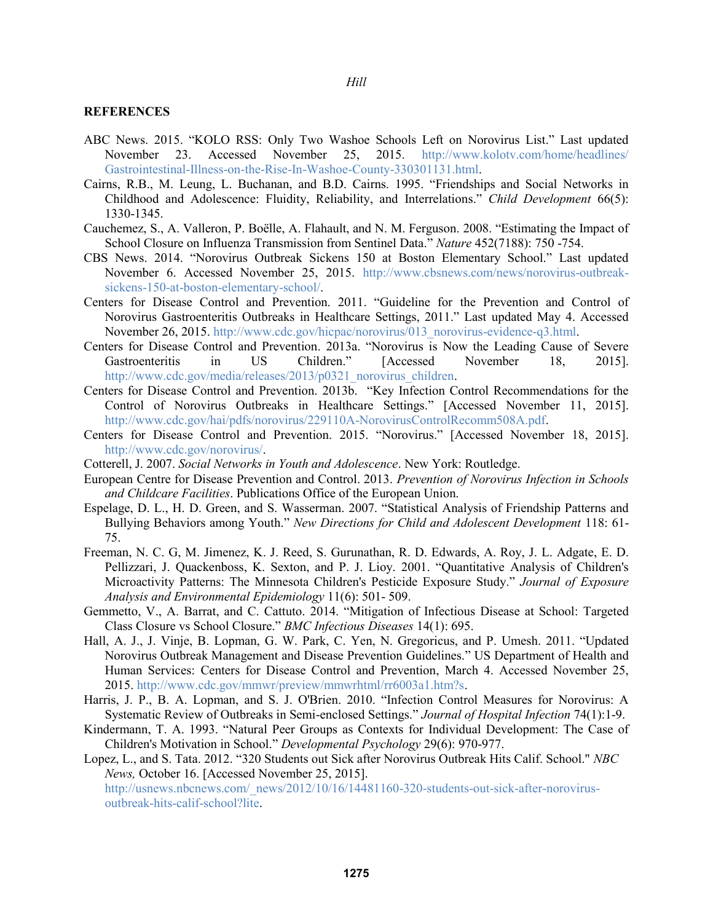#### **REFERENCES**

- ABC News. 2015. "KOLO RSS: Only Two Washoe Schools Left on Norovirus List." Last updated November 23. Accessed November 25, 2015. http://www.kolotv.com/home/headlines/ Gastrointestinal-Illness-on-the-Rise-In-Washoe-County-330301131.html.
- Cairns, R.B., M. Leung, L. Buchanan, and B.D. Cairns. 1995. "Friendships and Social Networks in Childhood and Adolescence: Fluidity, Reliability, and Interrelations." *Child Development* 66(5): 1330-1345.
- Cauchemez, S., A. Valleron, P. Boëlle, A. Flahault, and N. M. Ferguson. 2008. "Estimating the Impact of School Closure on Influenza Transmission from Sentinel Data." *Nature* 452(7188): 750 -754.
- CBS News. 2014. "Norovirus Outbreak Sickens 150 at Boston Elementary School." Last updated November 6. Accessed November 25, 2015. http://www.cbsnews.com/news/norovirus-outbreaksickens-150-at-boston-elementary-school/.
- Centers for Disease Control and Prevention. 2011. "Guideline for the Prevention and Control of Norovirus Gastroenteritis Outbreaks in Healthcare Settings, 2011." Last updated May 4. Accessed November 26, 2015. http://www.cdc.gov/hicpac/norovirus/013\_norovirus-evidence-q3.html.
- Centers for Disease Control and Prevention. 2013a. "Norovirus is Now the Leading Cause of Severe Gastroenteritis in US Children." [Accessed November 18, 2015]. http://www.cdc.gov/media/releases/2013/p0321\_norovirus\_children.
- Centers for Disease Control and Prevention. 2013b. "Key Infection Control Recommendations for the Control of Norovirus Outbreaks in Healthcare Settings." [Accessed November 11, 2015]. http://www.cdc.gov/hai/pdfs/norovirus/229110A-NorovirusControlRecomm508A.pdf.
- Centers for Disease Control and Prevention. 2015. "Norovirus." [Accessed November 18, 2015]. http://www.cdc.gov/norovirus/.
- Cotterell, J. 2007. *Social Networks in Youth and Adolescence*. New York: Routledge.
- European Centre for Disease Prevention and Control. 2013. *Prevention of Norovirus Infection in Schools and Childcare Facilities*. Publications Office of the European Union.
- Espelage, D. L., H. D. Green, and S. Wasserman. 2007. "Statistical Analysis of Friendship Patterns and Bullying Behaviors among Youth." *New Directions for Child and Adolescent Development* 118: 61- 75.
- Freeman, N. C. G, M. Jimenez, K. J. Reed, S. Gurunathan, R. D. Edwards, A. Roy, J. L. Adgate, E. D. Pellizzari, J. Quackenboss, K. Sexton, and P. J. Lioy. 2001. "Quantitative Analysis of Children's Microactivity Patterns: The Minnesota Children's Pesticide Exposure Study." *Journal of Exposure Analysis and Environmental Epidemiology* 11(6): 501- 509.
- Gemmetto, V., A. Barrat, and C. Cattuto. 2014. "Mitigation of Infectious Disease at School: Targeted Class Closure vs School Closure." *BMC Infectious Diseases* 14(1): 695.
- Hall, A. J., J. Vinje, B. Lopman, G. W. Park, C. Yen, N. Gregoricus, and P. Umesh. 2011. "Updated Norovirus Outbreak Management and Disease Prevention Guidelines." US Department of Health and Human Services: Centers for Disease Control and Prevention, March 4. Accessed November 25, 2015. http://www.cdc.gov/mmwr/preview/mmwrhtml/rr6003a1.htm?s.
- Harris, J. P., B. A. Lopman, and S. J. O'Brien. 2010. "Infection Control Measures for Norovirus: A Systematic Review of Outbreaks in Semi-enclosed Settings." *Journal of Hospital Infection* 74(1):1-9.
- Kindermann, T. A. 1993. "Natural Peer Groups as Contexts for Individual Development: The Case of Children's Motivation in School." *Developmental Psychology* 29(6): 970-977.
- Lopez, L., and S. Tata. 2012. "320 Students out Sick after Norovirus Outbreak Hits Calif. School." *NBC News,* October 16. [Accessed November 25, 2015].

http://usnews.nbcnews.com/\_news/2012/10/16/14481160-320-students-out-sick-after-norovirusoutbreak-hits-calif-school?lite.